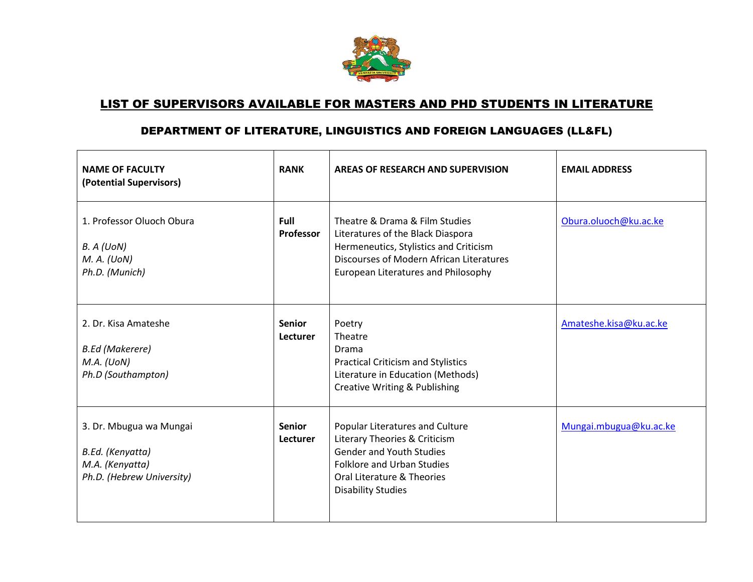

## LIST OF SUPERVISORS AVAILABLE FOR MASTERS AND PHD STUDENTS IN LITERATURE

## DEPARTMENT OF LITERATURE, LINGUISTICS AND FOREIGN LANGUAGES (LL&FL)

| <b>NAME OF FACULTY</b><br>(Potential Supervisors)                                           | <b>RANK</b>               | AREAS OF RESEARCH AND SUPERVISION                                                                                                                                                                   | <b>EMAIL ADDRESS</b>   |
|---------------------------------------------------------------------------------------------|---------------------------|-----------------------------------------------------------------------------------------------------------------------------------------------------------------------------------------------------|------------------------|
| 1. Professor Oluoch Obura<br>B. A (U o N)<br>$M.$ A. (UoN)<br>Ph.D. (Munich)                | Full<br>Professor         | Theatre & Drama & Film Studies<br>Literatures of the Black Diaspora<br>Hermeneutics, Stylistics and Criticism<br>Discourses of Modern African Literatures<br>European Literatures and Philosophy    | Obura.oluoch@ku.ac.ke  |
| 2. Dr. Kisa Amateshe<br><b>B.Ed (Makerere)</b><br>M.A. (UoN)<br>Ph.D (Southampton)          | <b>Senior</b><br>Lecturer | Poetry<br>Theatre<br>Drama<br><b>Practical Criticism and Stylistics</b><br>Literature in Education (Methods)<br><b>Creative Writing &amp; Publishing</b>                                            | Amateshe.kisa@ku.ac.ke |
| 3. Dr. Mbugua wa Mungai<br>B.Ed. (Kenyatta)<br>M.A. (Kenyatta)<br>Ph.D. (Hebrew University) | <b>Senior</b><br>Lecturer | Popular Literatures and Culture<br>Literary Theories & Criticism<br><b>Gender and Youth Studies</b><br><b>Folklore and Urban Studies</b><br>Oral Literature & Theories<br><b>Disability Studies</b> | Mungai.mbugua@ku.ac.ke |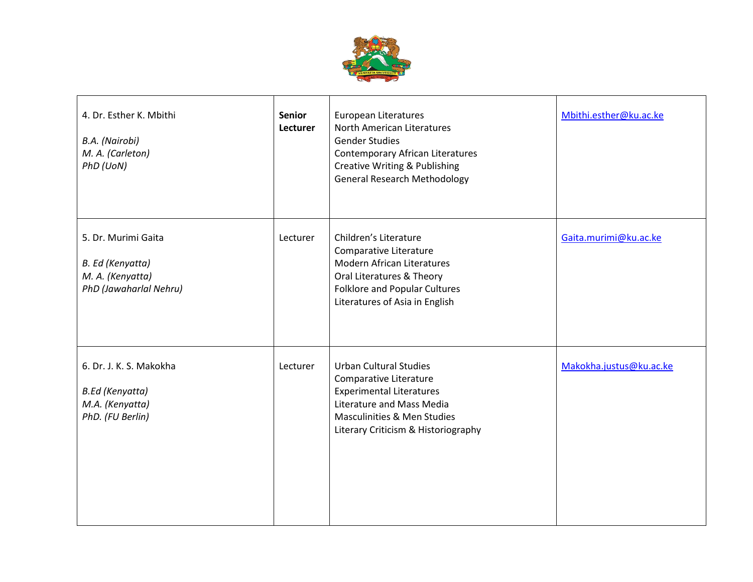

| 4. Dr. Esther K. Mbithi<br>B.A. (Nairobi)<br>M. A. (Carleton)<br>PhD (UoN)               | <b>Senior</b><br>Lecturer | <b>European Literatures</b><br>North American Literatures<br><b>Gender Studies</b><br><b>Contemporary African Literatures</b><br><b>Creative Writing &amp; Publishing</b><br><b>General Research Methodology</b> | Mbithi.esther@ku.ac.ke  |
|------------------------------------------------------------------------------------------|---------------------------|------------------------------------------------------------------------------------------------------------------------------------------------------------------------------------------------------------------|-------------------------|
| 5. Dr. Murimi Gaita<br>B. Ed (Kenyatta)<br>M. A. (Kenyatta)<br>PhD (Jawaharlal Nehru)    | Lecturer                  | Children's Literature<br>Comparative Literature<br><b>Modern African Literatures</b><br>Oral Literatures & Theory<br>Folklore and Popular Cultures<br>Literatures of Asia in English                             | Gaita.murimi@ku.ac.ke   |
| 6. Dr. J. K. S. Makokha<br><b>B.Ed (Kenyatta)</b><br>M.A. (Kenyatta)<br>PhD. (FU Berlin) | Lecturer                  | <b>Urban Cultural Studies</b><br>Comparative Literature<br><b>Experimental Literatures</b><br>Literature and Mass Media<br>Masculinities & Men Studies<br>Literary Criticism & Historiography                    | Makokha.justus@ku.ac.ke |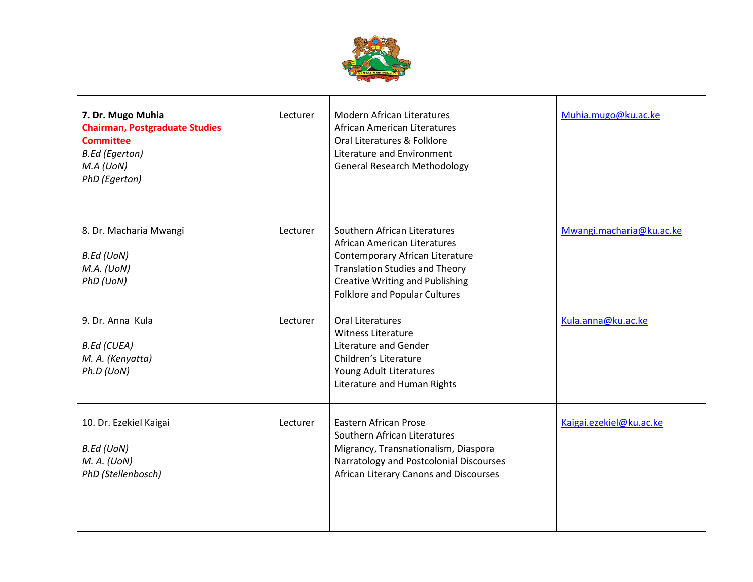

| 7. Dr. Mugo Muhia<br><b>Chairman, Postgraduate Studies</b><br><b>Committee</b><br><b>B.Ed (Egerton)</b><br>M.A (U o N)<br>PhD (Egerton) | Lecturer | <b>Modern African Literatures</b><br>African American Literatures<br>Oral Literatures & Folklore<br>Literature and Environment<br><b>General Research Methodology</b>                                                      | Muhia.mugo@ku.ac.ke      |
|-----------------------------------------------------------------------------------------------------------------------------------------|----------|----------------------------------------------------------------------------------------------------------------------------------------------------------------------------------------------------------------------------|--------------------------|
| 8. Dr. Macharia Mwangi<br><b>B.Ed (UoN)</b><br>M.A. (U o N)<br>PhD (UoN)                                                                | Lecturer | Southern African Literatures<br>African American Literatures<br>Contemporary African Literature<br><b>Translation Studies and Theory</b><br><b>Creative Writing and Publishing</b><br><b>Folklore and Popular Cultures</b> | Mwangi.macharia@ku.ac.ke |
| 9. Dr. Anna Kula<br><b>B.Ed (CUEA)</b><br>M. A. (Kenyatta)<br>Ph.D (UoN)                                                                | Lecturer | Oral Literatures<br><b>Witness Literature</b><br>Literature and Gender<br>Children's Literature<br>Young Adult Literatures<br>Literature and Human Rights                                                                  | Kula.anna@ku.ac.ke       |
| 10. Dr. Ezekiel Kaigai<br><b>B.Ed (UoN)</b><br>M. A. (UoN)<br>PhD (Stellenbosch)                                                        | Lecturer | <b>Eastern African Prose</b><br>Southern African Literatures<br>Migrancy, Transnationalism, Diaspora<br>Narratology and Postcolonial Discourses<br>African Literary Canons and Discourses                                  | Kaigai.ezekiel@ku.ac.ke  |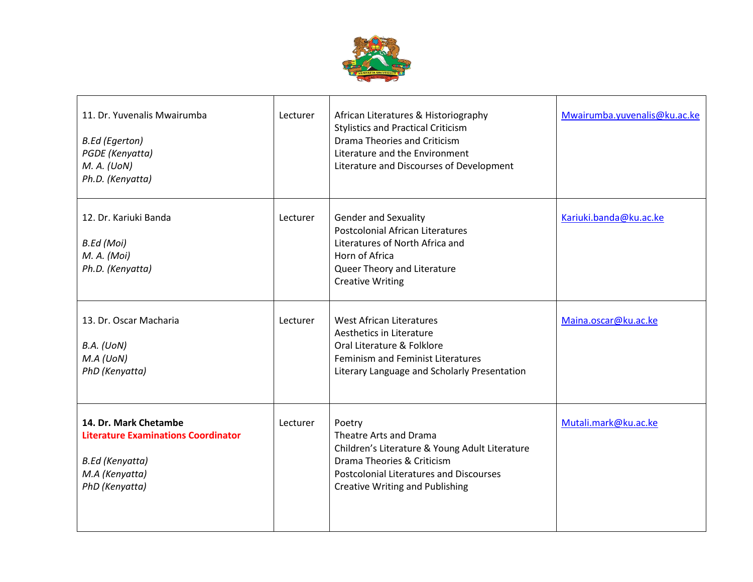

| 11. Dr. Yuvenalis Mwairumba<br><b>B.Ed (Egerton)</b><br>PGDE (Kenyatta)<br>M. A. (UoN)<br>Ph.D. (Kenyatta)                        | Lecturer | African Literatures & Historiography<br><b>Stylistics and Practical Criticism</b><br>Drama Theories and Criticism<br>Literature and the Environment<br>Literature and Discourses of Development              | Mwairumba.yuvenalis@ku.ac.ke |
|-----------------------------------------------------------------------------------------------------------------------------------|----------|--------------------------------------------------------------------------------------------------------------------------------------------------------------------------------------------------------------|------------------------------|
| 12. Dr. Kariuki Banda<br>B.Ed (Moi)<br>M. A. (Moi)<br>Ph.D. (Kenyatta)                                                            | Lecturer | <b>Gender and Sexuality</b><br><b>Postcolonial African Literatures</b><br>Literatures of North Africa and<br>Horn of Africa<br>Queer Theory and Literature<br><b>Creative Writing</b>                        | Kariuki.banda@ku.ac.ke       |
| 13. Dr. Oscar Macharia<br>B.A. (U o N)<br>M.A (U o N)<br>PhD (Kenyatta)                                                           | Lecturer | <b>West African Literatures</b><br>Aesthetics in Literature<br>Oral Literature & Folklore<br>Feminism and Feminist Literatures<br>Literary Language and Scholarly Presentation                               | Maina.oscar@ku.ac.ke         |
| 14. Dr. Mark Chetambe<br><b>Literature Examinations Coordinator</b><br><b>B.Ed</b> (Kenyatta)<br>M.A (Kenyatta)<br>PhD (Kenyatta) | Lecturer | Poetry<br>Theatre Arts and Drama<br>Children's Literature & Young Adult Literature<br>Drama Theories & Criticism<br><b>Postcolonial Literatures and Discourses</b><br><b>Creative Writing and Publishing</b> | Mutali.mark@ku.ac.ke         |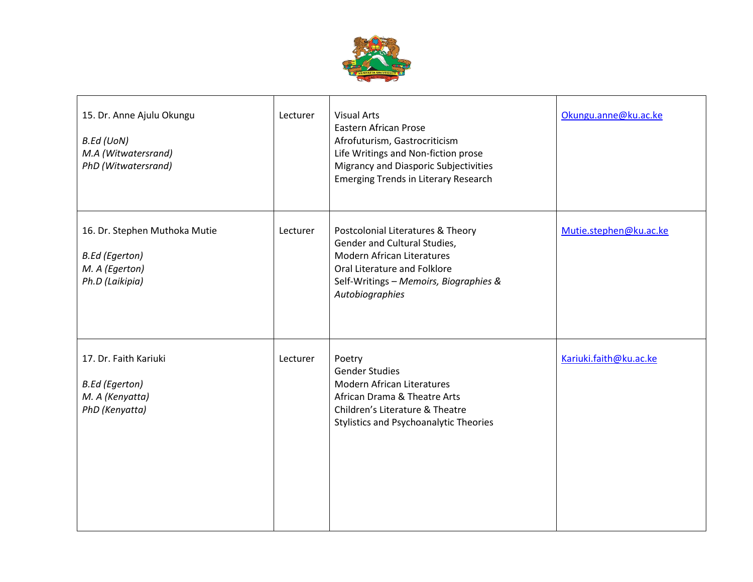

| 15. Dr. Anne Ajulu Okungu<br><b>B.Ed (UoN)</b><br>M.A (Witwatersrand)<br>PhD (Witwatersrand) | Lecturer | <b>Visual Arts</b><br>Eastern African Prose<br>Afrofuturism, Gastrocriticism<br>Life Writings and Non-fiction prose<br>Migrancy and Diasporic Subjectivities<br><b>Emerging Trends in Literary Research</b> | Okungu.anne@ku.ac.ke   |
|----------------------------------------------------------------------------------------------|----------|-------------------------------------------------------------------------------------------------------------------------------------------------------------------------------------------------------------|------------------------|
| 16. Dr. Stephen Muthoka Mutie<br><b>B.Ed (Egerton)</b><br>M. A (Egerton)<br>Ph.D (Laikipia)  | Lecturer | Postcolonial Literatures & Theory<br>Gender and Cultural Studies,<br><b>Modern African Literatures</b><br>Oral Literature and Folklore<br>Self-Writings - Memoirs, Biographies &<br>Autobiographies         | Mutie.stephen@ku.ac.ke |
| 17. Dr. Faith Kariuki<br><b>B.Ed (Egerton)</b><br>M. A (Kenyatta)<br>PhD (Kenyatta)          | Lecturer | Poetry<br><b>Gender Studies</b><br><b>Modern African Literatures</b><br>African Drama & Theatre Arts<br>Children's Literature & Theatre<br><b>Stylistics and Psychoanalytic Theories</b>                    | Kariuki.faith@ku.ac.ke |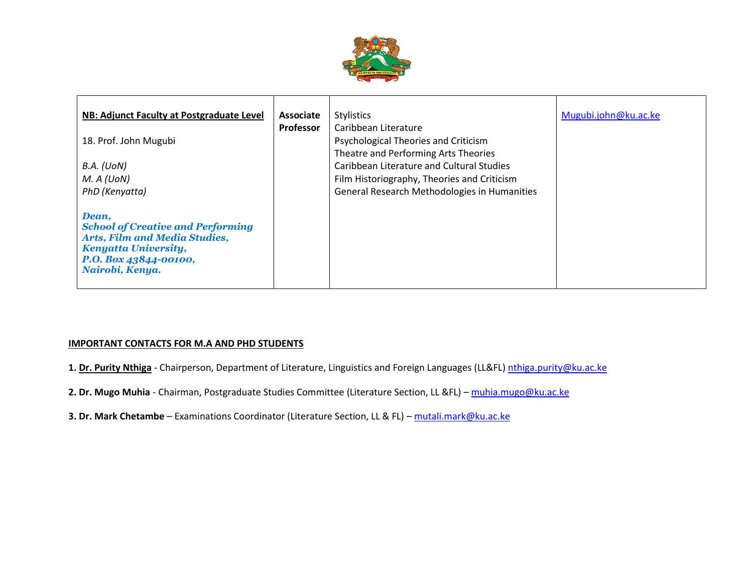

| NB: Adjunct Faculty at Postgraduate Level<br>18. Prof. John Mugubi<br>B.A. (UoN)<br>M. A (U o N)                                                                                | Associate<br>Professor | <b>Stylistics</b><br>Caribbean Literature<br>Psychological Theories and Criticism<br>Theatre and Performing Arts Theories<br>Caribbean Literature and Cultural Studies<br>Film Historiography, Theories and Criticism | Mugubi.john@ku.ac.ke |
|---------------------------------------------------------------------------------------------------------------------------------------------------------------------------------|------------------------|-----------------------------------------------------------------------------------------------------------------------------------------------------------------------------------------------------------------------|----------------------|
| PhD (Kenyatta)<br>Dean,<br><b>School of Creative and Performing</b><br><b>Arts, Film and Media Studies,</b><br>Kenyatta University,<br>P.O. Box 43844-00100,<br>Nairobi, Kenya. |                        | General Research Methodologies in Humanities                                                                                                                                                                          |                      |

## **IMPORTANT CONTACTS FOR M.A AND PHD STUDENTS**

- 1. Dr. Purity Nthiga Chairperson, Department of Literature, Linguistics and Foreign Languages (LL&FL) [nthiga.purity@ku.ac.ke](mailto:nthiga.purity@ku.ac.ke)
- **2. Dr. Mugo Muhia** Chairman, Postgraduate Studies Committee (Literature Section, LL &FL) [muhia.mugo@ku.ac.ke](mailto:muhia.mugo@ku.ac.ke)
- **3. Dr. Mark Chetambe** Examinations Coordinator (Literature Section, LL & FL) [mutali.mark@ku.ac.ke](mailto:mutali.mark@ku.ac.ke)